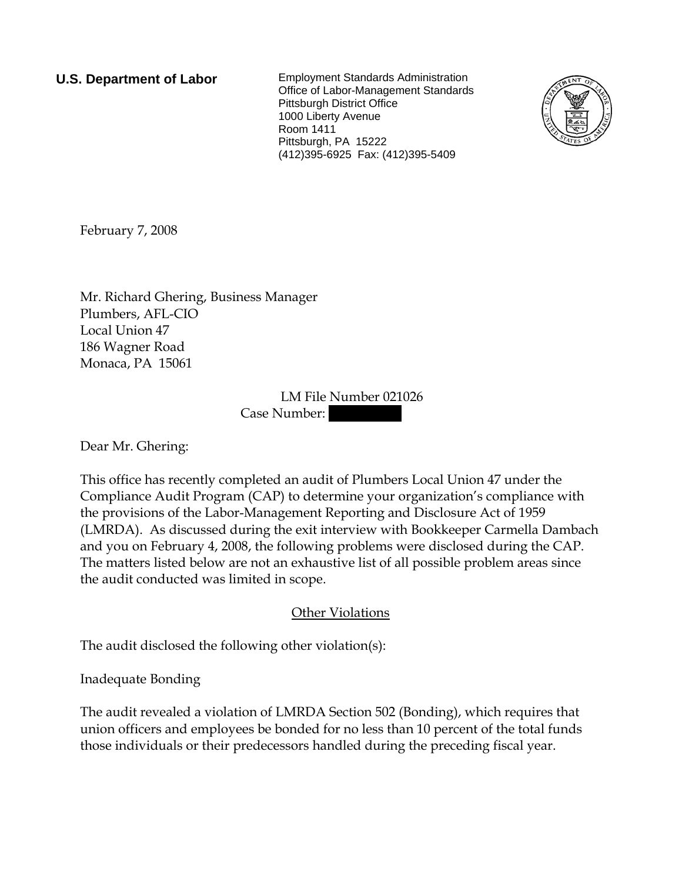**U.S. Department of Labor** Employment Standards Administration Office of Labor-Management Standards Pittsburgh District Office 1000 Liberty Avenue Room 1411 Pittsburgh, PA 15222 (412)395-6925 Fax: (412)395-5409



February 7, 2008

Mr. Richard Ghering, Business Manager Plumbers, AFL-CIO Local Union 47 186 Wagner Road Monaca, PA 15061

> LM File Number 021026 Case Number:

Dear Mr. Ghering:

This office has recently completed an audit of Plumbers Local Union 47 under the Compliance Audit Program (CAP) to determine your organization's compliance with the provisions of the Labor-Management Reporting and Disclosure Act of 1959 (LMRDA). As discussed during the exit interview with Bookkeeper Carmella Dambach and you on February 4, 2008, the following problems were disclosed during the CAP. The matters listed below are not an exhaustive list of all possible problem areas since the audit conducted was limited in scope.

Other Violations

The audit disclosed the following other violation(s):

Inadequate Bonding

The audit revealed a violation of LMRDA Section 502 (Bonding), which requires that union officers and employees be bonded for no less than 10 percent of the total funds those individuals or their predecessors handled during the preceding fiscal year.